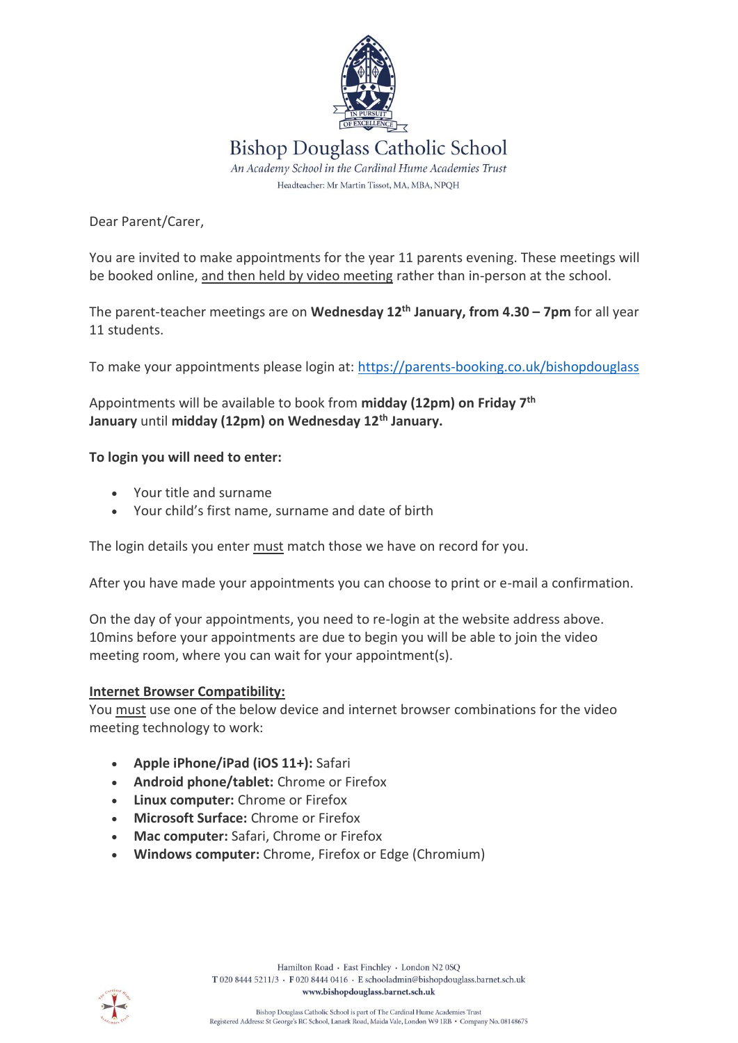

Dear Parent/Carer,

You are invited to make appointments for the year 11 parents evening. These meetings will be booked online, and then held by video meeting rather than in-person at the school.

The parent-teacher meetings are on **Wednesday 12 th January, from 4.30 – 7pm** for all year 11 students.

To make your appointments please login at: <https://parents-booking.co.uk/bishopdouglass>

Appointments will be available to book from **midday (12pm) on Friday 7 th January** until **midday (12pm) on Wednesday 12th January.**

## **To login you will need to enter:**

- Your title and surname
- Your child's first name, surname and date of birth

The login details you enter must match those we have on record for you.

After you have made your appointments you can choose to print or e-mail a confirmation.

On the day of your appointments, you need to re-login at the website address above. 10mins before your appointments are due to begin you will be able to join the video meeting room, where you can wait for your appointment(s).

## **Internet Browser Compatibility:**

You must use one of the below device and internet browser combinations for the video meeting technology to work:

- **Apple iPhone/iPad (iOS 11+):** Safari
- **Android phone/tablet:** Chrome or Firefox
- **Linux computer:** Chrome or Firefox
- **Microsoft Surface:** Chrome or Firefox
- **Mac computer:** Safari, Chrome or Firefox
- **Windows computer:** Chrome, Firefox or Edge (Chromium)